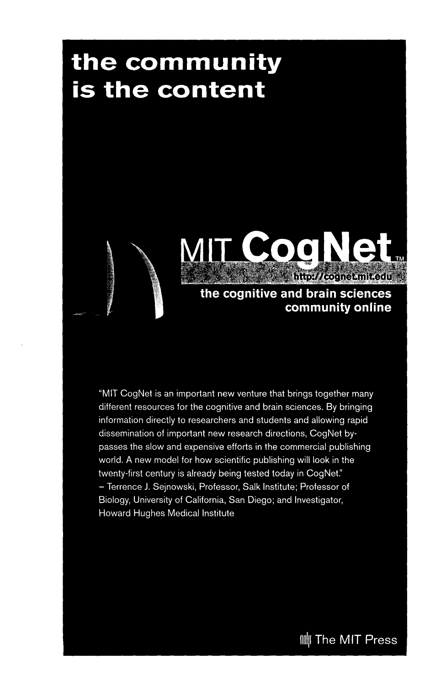# **the community is the content**



**community online** 

"MIT CogNet is an important new venture that brings together many different resources for the cognitive and brain sciences. By bringing information directly to researchers and students and allowing rapid dissemination of important new research directions, CogNet bypasses the slow and expensive efforts in the commercial publishing world. A new model for how scientific publishing will look in the twenty-first century is already being tested today in CogNet." - Terrence J. Sejnowski, Professor, Salk Institute; Professor of Biology, University of California, San Diego; and Investigator, Howard Hughes Medical Institute

**IIIII** The MIT Press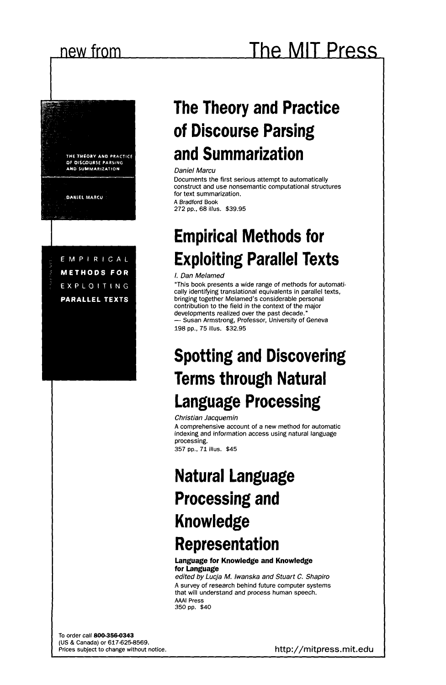# **new from The MIT Press**





EMPIRICAL **METHODS FOR**  EXPLOITING **PARALLEL TEXTS** 

# **The Theory and Practice of Discourse Parsing and Summarization**

#### *Daniel Marcu*

Documents the first serious attempt to automatically construct and use nonsemantic computational structures for text summarization. A Bradford Book

272 pp., 68 illus. \$39.95

# **Empirical Methods for Exploiting Parallel Texts**

#### *I. Dan Melamed*

"This book presents a wide range of methods for automatically identifying translational equivalents in parallel texts, bringing together Melamed's considerable personal contribution to the field in the context of the major developments realized over the past decade. -- Susan Armstrong, Professor, University of Geneva 198 pp., 75 illus. \$32.95

# **Spotting and Discovering Terms through Natural Language Processing**

#### *Christian Jacquemin*

A comprehensive account of a new method for automatic indexing and information access using natural language processing. 357 pp., 71 illus. \$45

# **Natural Language Processing and Knowledge Representation**

#### **Language for Knowledge and Knowledge for Language**

*edited by Lucia M. Iwanska and Stuart C. Shapiro*  A survey of research behind future computer systems that will understand and process human speech. AAAI Press 350 pp. \$40

To order call 800-356-0343 (US & Canada) or 617-625-8569. Prices subject to change without notice. http://mitpress.mit,edu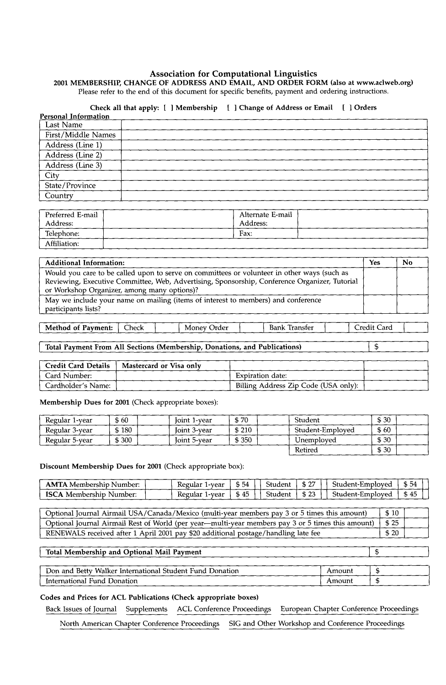### **Association for Computational Linguistics**

**2001 MEMBERSHIP, CHANGE OF ADDRESS AND EMAIL, AND ORDER FORM (also at www.aclweb.org)**  Please refer to the end of this document for specific benefits, payment and ordering instructions.

### **Check all that apply: [ ] Membership [ ] Change of Address or Email [ ] Orders**

| Personal Information |  |
|----------------------|--|
| Last Name            |  |
| First/Middle Names   |  |
| Address (Line 1)     |  |
| Address (Line 2)     |  |
| Address (Line 3)     |  |
| City                 |  |
| State/Province       |  |
| Country              |  |

| Preferred E-mail<br>Address: | Alternate E-mail<br>Address: |  |
|------------------------------|------------------------------|--|
| Telephone:                   | Fax:                         |  |
| Affiliation:                 |                              |  |

| <b>Additional Information:</b>                                                                | Yes | No |
|-----------------------------------------------------------------------------------------------|-----|----|
| Would you care to be called upon to serve on committees or volunteer in other ways (such as   |     |    |
| Reviewing, Executive Committee, Web, Advertising, Sponsorship, Conference Organizer, Tutorial |     |    |
| or Workshop Organizer, among many options)?                                                   |     |    |
| May we include your name on mailing (items of interest to members) and conference             |     |    |
| participants lists?                                                                           |     |    |
|                                                                                               |     |    |

| Method of Payment: | heck. | Money<br>Order | <b>Transfer</b><br>Bank | Caro<br>redit |  |
|--------------------|-------|----------------|-------------------------|---------------|--|
|--------------------|-------|----------------|-------------------------|---------------|--|

#### **I Total Payment From All Sections (Membership, Donations, and Publications)**

|                    | Credit Card Details   Mastercard or Visa only |                                      |  |
|--------------------|-----------------------------------------------|--------------------------------------|--|
| Card Number:       |                                               | Expiration date:                     |  |
| Cardholder's Name: |                                               | Billing Address Zip Code (USA only): |  |

#### **Membership Dues for 2001** (Check appropriate boxes):

| Regular 1-year | \$ 60 | Ioint 1-year | -70<br>ת. | Student          | \$30  |  |
|----------------|-------|--------------|-----------|------------------|-------|--|
| Regular 3-year | -180  | Ioint 3-year | \$210     | Student-Emploved | \$60  |  |
| Regular 5-year | 300 م | Joint 5-vear | \$350     | Unemploved       | \$ 30 |  |
|                |       |              |           | Retired          | \$30  |  |

#### **Discount Membership Dues for 2001** (Check appropriate box):

| AMTA Membership Number: |                                            |  | Regular 1-year   \$ 54    Student   \$ 27    Student-Emploved   \$ 54 |  |
|-------------------------|--------------------------------------------|--|-----------------------------------------------------------------------|--|
| ISCA Membership Number: | ' Regular 1-year   \$45     Student   \$23 |  | □ Student-Employed   \$45 →                                           |  |

| Optional Journal Airmail USA/Canada/Mexico (multi-year members pay 3 or 5 times this amount)              | \$10 |  |
|-----------------------------------------------------------------------------------------------------------|------|--|
| Optional Journal Airmail Rest of World (per year—multi-year members pay 3 or 5 times this amount)   \$ 25 |      |  |
| RENEWALS received after 1 April 2001 pay \$20 additional postage/handling late fee                        | \$20 |  |

#### **Total Membership and Optional Mail Payment ] \$**

| Don and Betty Walker International Student Fund Donation | Amouni |  |
|----------------------------------------------------------|--------|--|
| - International Fund Donation                            | Amoun' |  |

### **Codes and Prices for ACL Publications (Check appropriate boxes)**

Back Issues of Journal Supplements ACL Conference Proceedings European Chapter Conference Proceedings

 $\overline{\mathfrak{s}}$ 

North American Chapter Conference Proceedings SIG and Other Workshop and Conference Proceedings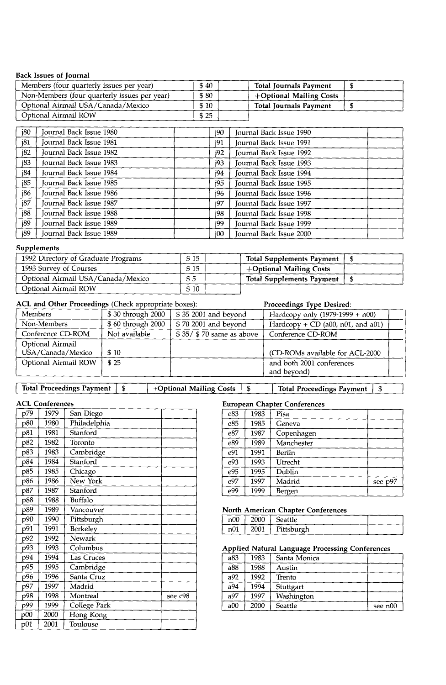### **Back Issues of Journal**

| Members (four quarterly issues per year)     | \$40 | Total Journals Payment        |
|----------------------------------------------|------|-------------------------------|
| Non-Members (four quarterly issues per year) | \$80 | +Optional Mailing Costs       |
| Optional Airmail USA/Canada/Mexico           | \$10 | <b>Total Journals Payment</b> |
| Optional Airmail ROW                         | \$25 |                               |

| i80        | Journal Back Issue 1980 | i90 | Journal Back Issue 1990 |  |
|------------|-------------------------|-----|-------------------------|--|
| i81        | Journal Back Issue 1981 | i91 | Journal Back Issue 1991 |  |
| i82        | Journal Back Issue 1982 | i92 | Journal Back Issue 1992 |  |
| 183        | Journal Back Issue 1983 | i93 | Journal Back Issue 1993 |  |
| 184        | Journal Back Issue 1984 | i94 | Journal Back Issue 1994 |  |
| i85        | Journal Back Issue 1985 | i95 | Journal Back Issue 1995 |  |
| 186        | Journal Back Issue 1986 | i96 | Journal Back Issue 1996 |  |
| i87        | Journal Back Issue 1987 | i97 | Journal Back Issue 1997 |  |
| <b>188</b> | Journal Back Issue 1988 | i98 | Journal Back Issue 1998 |  |
| j89        | Journal Back Issue 1989 | i99 | Journal Back Issue 1999 |  |
| i89        | Journal Back Issue 1989 | i00 | Journal Back Issue 2000 |  |

### **Supplements**

| 1992 Directory of Graduate Programs | \$15 | Total Supplements Payment   \$ |  |
|-------------------------------------|------|--------------------------------|--|
| 1993 Survey of Courses              | \$15 | +Optional Mailing Costs        |  |
| Optional Airmail USA/Canada/Mexico  | \$5  | Total Supplements Payment   \$ |  |
| Optional Airmail ROW                | \$10 |                                |  |

| ACL and Other Proceedings (Check appropriate boxes): |                   | Proceedings Type Desired: |                                     |
|------------------------------------------------------|-------------------|---------------------------|-------------------------------------|
| Members                                              | \$30 through 2000 | \$35 2001 and beyond      | Hardcopy only $(1979-1999 + n00)$   |
| Non-Members                                          | \$60 through 2000 | \$70 2001 and beyond      | Hardcopy $+$ CD (a00, n01, and a01) |
| Conference CD-ROM                                    | Not available     | \$35/ \$70 same as above  | Conference CD-ROM                   |
| Optional Airmail                                     |                   |                           |                                     |
| USA/Canada/Mexico                                    | \$10              |                           | (CD-ROMs available for ACL-2000     |
| Optional Airmail ROW                                 | \$25              |                           | and both 2001 conferences           |
|                                                      |                   |                           | and beyond)                         |

Total Proceedings Payment  $\begin{array}{|c|c|c|c|c|c|}\hline \text{5} & + \text{Optional Mailing Costs} & \text{\$} & \text{Total Proceedings Payment} & \text{\$} \end{array}$ 

### **ACL Conferences**

| p79             | 1979 | San Diego    |         |
|-----------------|------|--------------|---------|
| p80             | 1980 | Philadelphia |         |
| p81             | 1981 | Stanford     |         |
| p82             | 1982 | Toronto      |         |
| p83             | 1983 | Cambridge    |         |
| p84             | 1984 | Stanford     |         |
| p85             | 1985 | Chicago      |         |
| p86             | 1986 | New York     |         |
| p87             | 1987 | Stanford     |         |
| p88             | 1988 | Buffalo      |         |
| p89             | 1989 | Vancouver    |         |
| p90             | 1990 | Pittsburgh   |         |
| p91             | 1991 | Berkeley     |         |
| p92             | 1992 | Newark       |         |
| p93             | 1993 | Columbus     |         |
| p94             | 1994 | Las Cruces   |         |
| p95             | 1995 | Cambridge    |         |
| p96             | 1996 | Santa Cruz   |         |
| p97             | 1997 | Madrid       |         |
| p98             | 1998 | Montreal     | see c98 |
| p99             | 1999 | College Park |         |
| $_{\text{p00}}$ | 2000 | Hong Kong    |         |
| p01             | 2001 | Toulouse     |         |
|                 |      |              |         |

## **European Chapter Conferences**

| e83 | 1983 | Pisa       |         |
|-----|------|------------|---------|
| e85 | 1985 | Geneva     |         |
| e87 | 1987 | Copenhagen |         |
| e89 | 1989 | Manchester |         |
| e91 | 1991 | Berlin     |         |
| e93 | 1993 | Utrecht    |         |
| e95 | 1995 | Dublin     |         |
| e97 | 1997 | Madrid     | see p97 |
| e99 | 1999 | Bergen     |         |

### **North American Chapter Conferences**

| n00 | 2000 | Seattle           |  |
|-----|------|-------------------|--|
| n01 |      | $2001$ Pittsburgh |  |

# **Applied Natural Language Processing Conferences**

| a83 | 1983 | Santa Monica |         |
|-----|------|--------------|---------|
| a88 | 1988 | Austin       |         |
| a92 | 1992 | Trento       |         |
| a94 | 1994 | Stuttgart    |         |
| a97 | 1997 | Washington   |         |
| a00 | 2000 | Seattle      | see n00 |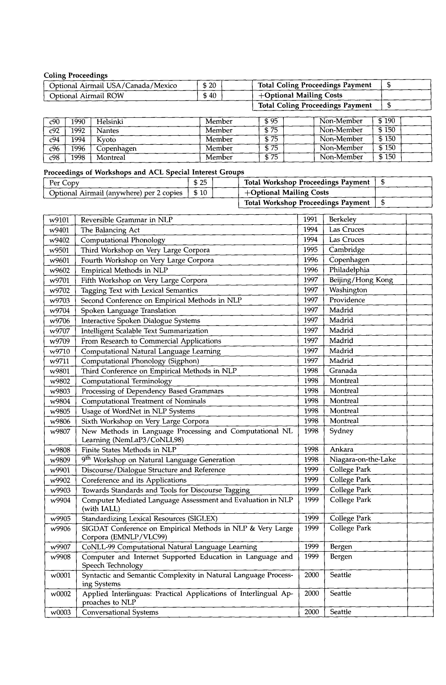### **Coling Proceedings**

| \$20<br>Optional Airmail USA/Canada/Mexico |      | <b>Total Coling Proceedings Payment</b> | S                       |                                         |            |       |
|--------------------------------------------|------|-----------------------------------------|-------------------------|-----------------------------------------|------------|-------|
| \$40<br>Optional Airmail ROW               |      |                                         | +Optional Mailing Costs |                                         |            |       |
|                                            |      |                                         |                         | <b>Total Coling Proceedings Payment</b> |            |       |
|                                            |      |                                         |                         |                                         |            |       |
| c90                                        | 1990 | Helsinki                                | Member                  | \$95                                    | Non-Member | \$190 |
| c92                                        | 1992 | Nantes                                  | Member                  | \$75                                    | Non-Member | \$150 |
| c94                                        | 1994 | Kvoto                                   | Member                  | \$75                                    | Non-Member | \$150 |
| c96                                        | 1996 | Copenhagen                              | Member                  | \$75                                    | Non-Member | 5150  |
| c98                                        | 1998 | Montreal                                | Member                  | $\sqrt{575}$                            | Non-Member | \$150 |

# **Proceedings of Workshops and ACL Special Interest Groups**

| Per Copy                                 | \$25 | <b>Total Workshop Proceedings Payment</b> |  |
|------------------------------------------|------|-------------------------------------------|--|
| Optional Airmail (anywhere) per 2 copies | \$10 | +Optional Mailing Costs                   |  |
|                                          |      | <b>Total Workshop Proceedings Payment</b> |  |

| w9101 | Reversible Grammar in NLP                                                           | 1991 | Berkeley            |  |
|-------|-------------------------------------------------------------------------------------|------|---------------------|--|
| w9401 | The Balancing Act                                                                   | 1994 | <b>Las Cruces</b>   |  |
| w9402 | Computational Phonology                                                             | 1994 | Las Cruces          |  |
| w9501 | Third Workshop on Very Large Corpora                                                | 1995 | Cambridge           |  |
| w9601 | Fourth Workshop on Very Large Corpora                                               | 1996 | Copenhagen          |  |
| w9602 | Empirical Methods in NLP                                                            | 1996 | Philadelphia        |  |
| w9701 | Fifth Workshop on Very Large Corpora                                                | 1997 | Beijing/Hong Kong   |  |
| w9702 | Tagging Text with Lexical Semantics                                                 | 1997 | Washington          |  |
| w9703 | Second Conference on Empirical Methods in NLP                                       | 1997 | Providence          |  |
| w9704 | Spoken Language Translation                                                         | 1997 | Madrid              |  |
| w9706 | Interactive Spoken Dialogue Systems                                                 | 1997 | Madrid              |  |
| w9707 | Intelligent Scalable Text Summarization                                             | 1997 | Madrid              |  |
| w9709 | From Research to Commercial Applications                                            | 1997 | Madrid              |  |
| w9710 | Computational Natural Language Learning                                             | 1997 | Madrid              |  |
| w9711 | Computational Phonology (Sigphon)                                                   | 1997 | Madrid              |  |
| w9801 | Third Conference on Empirical Methods in NLP                                        | 1998 | Granada             |  |
| w9802 | Computational Terminology                                                           | 1998 | Montreal            |  |
| w9803 | Processing of Dependency Based Grammars                                             | 1998 | Montreal            |  |
| w9804 | Computational Treatment of Nominals                                                 | 1998 | Montreal            |  |
| w9805 | Usage of WordNet in NLP Systems                                                     | 1998 | Montreal            |  |
| w9806 | Sixth Workshop on Very Large Corpora                                                | 1998 | Montreal            |  |
| w9807 | New Methods in Language Processing and Computational NL                             | 1998 | Sydney              |  |
|       | Learning (NemLaP3/CoNLL98)                                                          | 1998 | Ankara              |  |
| w9808 | Finite States Methods in NLP                                                        | 1998 |                     |  |
| w9809 | 9 <sup>th</sup> Workshop on Natural Language Generation                             | 1999 | Niagara-on-the-Lake |  |
| w9901 | Discourse/Dialogue Structure and Reference                                          | 1999 | College Park        |  |
| w9902 | Coreference and its Applications                                                    |      | <b>College Park</b> |  |
| w9903 | Towards Standards and Tools for Discourse Tagging                                   | 1999 | College Park        |  |
| w9904 | Computer Mediated Language Assessment and Evaluation in NLP<br>(with IALL)          | 1999 | College Park        |  |
| w9905 | Standardizing Lexical Resources (SIGLEX)                                            | 1999 | College Park        |  |
| w9906 | SIGDAT Conference on Empirical Methods in NLP & Very Large<br>Corpora (EMNLP/VLC99) | 1999 | College Park        |  |
| w9907 | CoNLL-99 Computational Natural Language Learning                                    | 1999 | Bergen              |  |
| w9908 | Computer and Internet Supported Education in Language and<br>Speech Technology      | 1999 | Bergen              |  |
| w0001 | Syntactic and Semantic Complexity in Natural Language Process-<br>ing Systems       | 2000 | Seattle             |  |
| w0002 | Applied Interlinguas: Practical Applications of Interlingual Ap-<br>proaches to NLP | 2000 | Seattle             |  |
| w0003 | <b>Conversational Systems</b>                                                       | 2000 | Seattle             |  |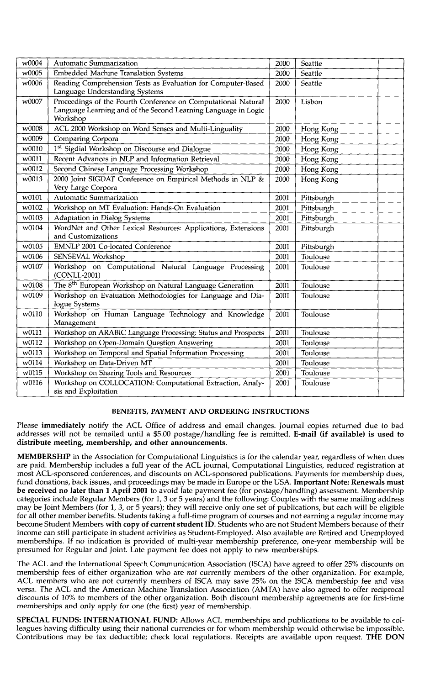| w0004 | Automatic Summarization                                                                                                                     | 2000 | Seattle    |
|-------|---------------------------------------------------------------------------------------------------------------------------------------------|------|------------|
| w0005 | <b>Embedded Machine Translation Systems</b>                                                                                                 | 2000 | Seattle    |
| w0006 | Reading Comprehension Tests as Evaluation for Computer-Based<br>Language Understanding Systems                                              | 2000 | Seattle    |
| w0007 | Proceedings of the Fourth Conference on Computational Natural<br>Language Learning and of the Second Learning Language in Logic<br>Workshop | 2000 | Lisbon     |
| w0008 | ACL-2000 Workshop on Word Senses and Multi-Linguality                                                                                       | 2000 | Hong Kong  |
| w0009 | Comparing Corpora                                                                                                                           | 2000 | Hong Kong  |
| w0010 | 1 <sup>st</sup> Sigdial Workshop on Discourse and Dialogue                                                                                  | 2000 | Hong Kong  |
| w0011 | Recent Advances in NLP and Information Retrieval                                                                                            | 2000 | Hong Kong  |
| w0012 | Second Chinese Language Processing Workshop                                                                                                 | 2000 | Hong Kong  |
| w0013 | 2000 Joint SIGDAT Conference on Empirical Methods in NLP &<br>Very Large Corpora                                                            | 2000 | Hong Kong  |
| w0101 | Automatic Summarization                                                                                                                     | 2001 | Pittsburgh |
| w0102 | Workshop on MT Evaluation: Hands-On Evaluation                                                                                              | 2001 | Pittsburgh |
| w0103 | Adaptation in Dialog Systems                                                                                                                | 2001 | Pittsburgh |
| w0104 | WordNet and Other Lexical Resources: Applications, Extensions<br>and Customizations                                                         | 2001 | Pittsburgh |
| w0105 | EMNLP 2001 Co-located Conference                                                                                                            | 2001 | Pittsburgh |
| w0106 | SENSEVAL Workshop                                                                                                                           | 2001 | Toulouse   |
| w0107 | Workshop on Computational Natural Language Processing<br>(CONLL-2001)                                                                       | 2001 | Toulouse   |
| w0108 | The 8 <sup>th</sup> European Workshop on Natural Language Generation                                                                        | 2001 | Toulouse   |
| w0109 | Workshop on Evaluation Methodologies for Language and Dia-<br>logue Systems                                                                 | 2001 | Toulouse   |
| w0110 | Workshop on Human Language Technology and Knowledge<br>Management                                                                           | 2001 | Toulouse   |
| w0111 | Workshop on ARABIC Language Processing: Status and Prospects                                                                                | 2001 | Toulouse   |
| w0112 | Workshop on Open-Domain Question Answering                                                                                                  | 2001 | Toulouse   |
| w0113 | Workshop on Temporal and Spatial Information Processing                                                                                     | 2001 | Toulouse   |
| w0114 | Workshop on Data-Driven MT                                                                                                                  | 2001 | Toulouse   |
| w0115 | Workshop on Sharing Tools and Resources                                                                                                     | 2001 | Toulouse   |
| w0116 | Workshop on COLLOCATION: Computational Extraction, Analy-<br>sis and Exploitation                                                           | 2001 | Toulouse   |

### **BENEFITS, PAYMENT AND ORDERING INSTRUCTIONS**

Please immediately notify the ACL Office of address and email changes. Journal copies returned due to bad addresses will not be remailed until a \$5.00 postage/handling fee is remitted. **E-mail (if available) is used to distribute meeting, membership, and other** announcements.

**MEMBERSHIP** in the Association for Computational Linguistics is for the calendar year, regardless of when dues are paid. Membership includes a full year of the ACL journal, Computational Linguistics, reduced registration at most ACL-sponsored conferences, and discounts on ACL-sponsored publications. Payments for membership dues, fund donations, back issues, and proceedings may be made in Europe or the USA. **Important Note: Renewals must be received no later than 1 April 2001** to avoid late payment fee (for postage/handling) assessment. Membership categories include Regular Members (for 1, 3 or 5 years) and the following: Couples with the same mailing address may be Joint Members (for 1, 3, or 5 years); they will receive only one set of publications, but each will be eligible for all other member benefits. Students taking a full-time program of courses and not earning a regular income may become Student Members **with copy of current student ID.** Students who are not Student Members because of their income can still participate in student activities as Student-Employed. Also available are Retired and Unemployed memberships. If no indication is provided of multi-year membership preference, one-year membership will be presumed for Regular and Joint. Late payment fee does not apply to new memberships.

The ACL and the International Speech Communication Association (ISCA) have agreed to offer 25% discounts on membership fees of either organization who are *not* currently members of the other organization. For example, ACL members who are not currently members of ISCA may save 25% on the ISCA membership fee and visa versa. The ACL and the American Machine Translation Association (AMTA) have also agreed to offer reciprocal discounts of 10% to members of the other organization. Both discount membership agreements are for first-time memberships and only apply for one (the first) year of membership.

**SPECIAL FUNDS: INTERNATIONAL FUND:** Allows ACL memberships and publications to be available to colleagues having difficulty using their national currencies or for whom membership would otherwise be impossible. Contributions may be tax deductible; check local regulations. Receipts are available upon request. **THE DON**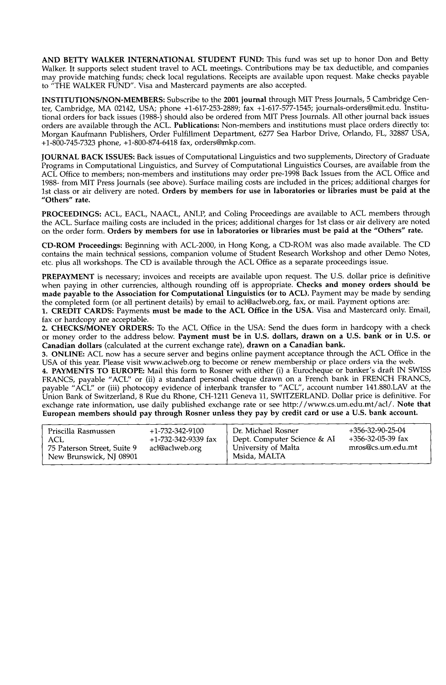**AND BETTY WALKER** INTERNATIONAL STUDENT FUND: This fund was set up to honor Don and Betty Walker. It supports select student travel to ACL meetings. Contributions may be tax deductible, and companies may provide matching funds; check local regulations. Receipts are available upon request. Make checks payable to "THE WALKER FUND". Visa and Mastercard payments are also accepted.

INSTITUTIONS/NON-MEMBERS: Subscribe to the 2001 journal through MIT Press Journals, 5 Cambridge Center, Cambridge, MA 02142, USA; phone +1-617-253-2889; fax +1-617-577-1545; journals-orders@mit.edu. Institutional orders for back issues (1988-) should also be ordered from MIT Press Journals. All other journal back issues orders are available through the ACL. **Publications:** Non-members and institutions must place orders directly to: Morgan Kaufmann Publishers, Order Fulfillment Department, 6277 Sea Harbor Drive, Orlando, FL, 32887 USA, +1-800-745-7323 phone, +1-800-874-6418 fax, orders@mkp.com.

**JOURNAL BACK ISSUES:** Back issues of Computational Linguistics and two supplements, Directory of Graduate Programs in Computational Linguistics, and Survey of Computational Linguistics Courses, are available from the ACL Office to members; non-members and institutions may order pre-1998 Back Issues from the ACL Office and 1988- from MIT Press Journals (see above). Surface mailing costs are included in the prices; additional charges for 1st class or air delivery are noted. Orders by members for **use in** laboratories or libraries must be paid at the "Others" rate.

PROCEEDINGS: ACL, EACL, NAACL, ANLP, and Coling Proceedings are available to ACL members through the ACL. Surface mailing costs are included in the prices; additional charges for 1st class or air delivery are noted on the order form. Orders by members for **use in** laboratories or libraries must be paid at the "Others" rate.

CD-ROM Proceedings: Beginning with ACL-2000, in Hong Kong, a CD-ROM was also made available. The CD contains the main technical sessions, companion volume of Student Research Workshop and other Demo Notes, etc. plus all workshops. The CD is available through the ACL Office as a separate proceedings issue.

PREPAYMENT is necessary; invoices and receipts are available upon request. The U.S. dollar price is definitive when paying in other currencies, although rounding off is appropriate. Checks **and money orders should** be made payable to the Association for **Computational Linguistics (or to ACL).** Payment may be made by sending the completed form (or all pertinent details) by email to acl@aclweb.org, fax, or mail. Payment options are: **1. CREDIT CARDS: Payments must** be made to the ACL Office in the USA. Visa and Mastercard only. Email, fax or hardcopy are acceptable.

2. CHECKS/MONEY ORDERS: To the ACL Office in the USA: Send the dues form in hardcopy with a check or money order to the address below. **Payment must be in** U.S. dollars, drawn on a U.S. bank or in U.S. or **Canadian** dollars (calculated at the current exchange rate), drawn on a Canadian bank.

3. ONLINE: ACL now has a secure server and begins online payment acceptance through the ACL Office in the USA of this year. Please visit www.aclweb.org to become or renew membership or place orders via the web.

**4. PAYMENTS TO** EUROPE: Mail this form to Rosner with either (i) a Eurocheque or banker's draft IN SWISS FRANCS, payable "ACU' or (ii) a standard personal cheque drawn on a French bank in FRENCH FRANCS, payable "ACU' or (iii) photocopy evidence of interbank transfer to "ACU', account number 141.880.LAV at the Union Bank of Switzerland, 8 Rue du Rhone, CH-1211 Geneva 11, SWITZERLAND. Dollar price is definitive. For exchange rate information, use daily published exchange rate or see http://www.cs.um.edu.mt/acl/. Note that European members should pay through Rosner unless they pay by credit card or use a U.S. bank **account.**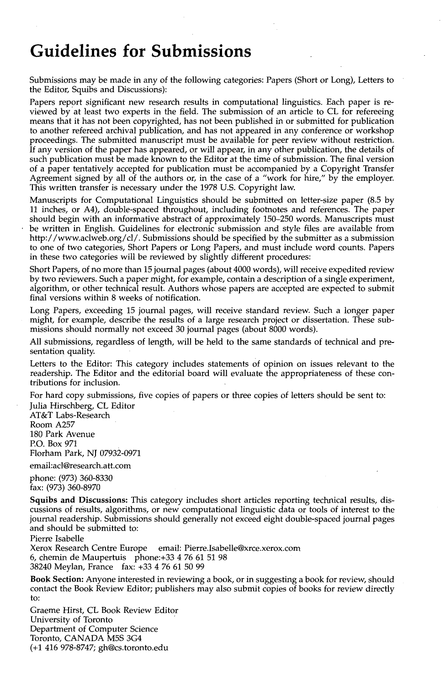# **Guidelines for Submissions**

Submissions may be made in any of the following categories: Papers (Short or Long), Letters to the Editor, Squibs and Discussions):

Papers report significant new research results in computational linguistics. Each paper is reviewed by at least two experts in the field. The submission of an article to CL for refereeing means that it has not been copyrighted, has not been published in or submitted for publication to another refereed archival publication, and has not appeared in any conference or workshop proceedings. The submitted manuscript must be available for peer review without restriction. If any version of the paper has appeared, or will appear, in any other publication, the details of such publication must be made known to the Editor at the time of submission. The final version of a paper tentatively accepted for publication must be accompanied by a Copyright Transfer Agreement signed by all of the authors or, in the case of a "work for hire," by the employer. This written transfer is necessary under the 1978 U.S. Copyright law.

Manuscripts for Computational Linguistics should be submitted on letter-size paper (8.5 by 11 inches, or A4), double-spaced throughout, including footnotes and references. The paper should begin with an informative abstract of approximately 150-250 words. Manuscripts must be written in English. Guidelines for electronic submission and style files are available from http://www.aclweb.org/cl/. Submissions should be specified by the submitter as a submission to one of two categories, Short Papers or Long Papers, and must include word counts. Papers in these two categories will be reviewed by slightly different procedures:

Short Papers, of no more than 15 journal pages (about 4000 words), will receive expedited review by two reviewers. Such a paper might, for example, contain a description of a single experiment, algorithm, or other technical result. Authors whose papers are accepted are expected to submit final versions within 8 weeks of notification.

Long Papers, exceeding 15 journal pages, will receive standard review. Such a longer paper might, for example, describe the results of a large research project or dissertation. These submissions should normally not exceed 30 journal pages (about 8000 words).

All submissions, regardless of length, will be held to the same standards of technical and presentation quality.

Letters to the Editor: This category includes statements of opinion on issues relevant to the readership. The Editor and the editorial board will evaluate the appropriateness of these contributions for inclusion.

For hard copy submissions, five copies of papers or three copies of letters should be sent to:

Julia Hirschberg, CL Editor AT&T Labs-Research Room A257 180 Park Avenue P.O. Box 971 Florham Park, NJ 07932-0971

email:acl@research.att.com

phone: (973) 360-8330 fax: (973) 360-8970

**Squibs and Discussions:** This category includes short articles reporting technical results, discussions of results, algorithms, or new computational linguistic data or tools of interest to the journal readership. Submissions should generally not exceed eight double-spaced journal pages and should be submitted to:

Pierre Isabelle

Xerox Research Centre Europe email: Pierre.Isabelle@xrce.xerox.com 6, chemin de Maupertuis phone:+33 4 76 61 51 98 38240 Meylan, France fax: +33 4 76 61 50 99

Book Section: Anyone interested in reviewing a book, or in suggesting a book for review, should contact the Book Review Editor; publishers may also submit copies of books for review directly to:

Graeme Hirst, CL Book Review Editor University of Toronto Department of Computer Science Toronto, CANADA M5S 3G4 (+1 416 *978-8747;* gh@cs.toronto.edu